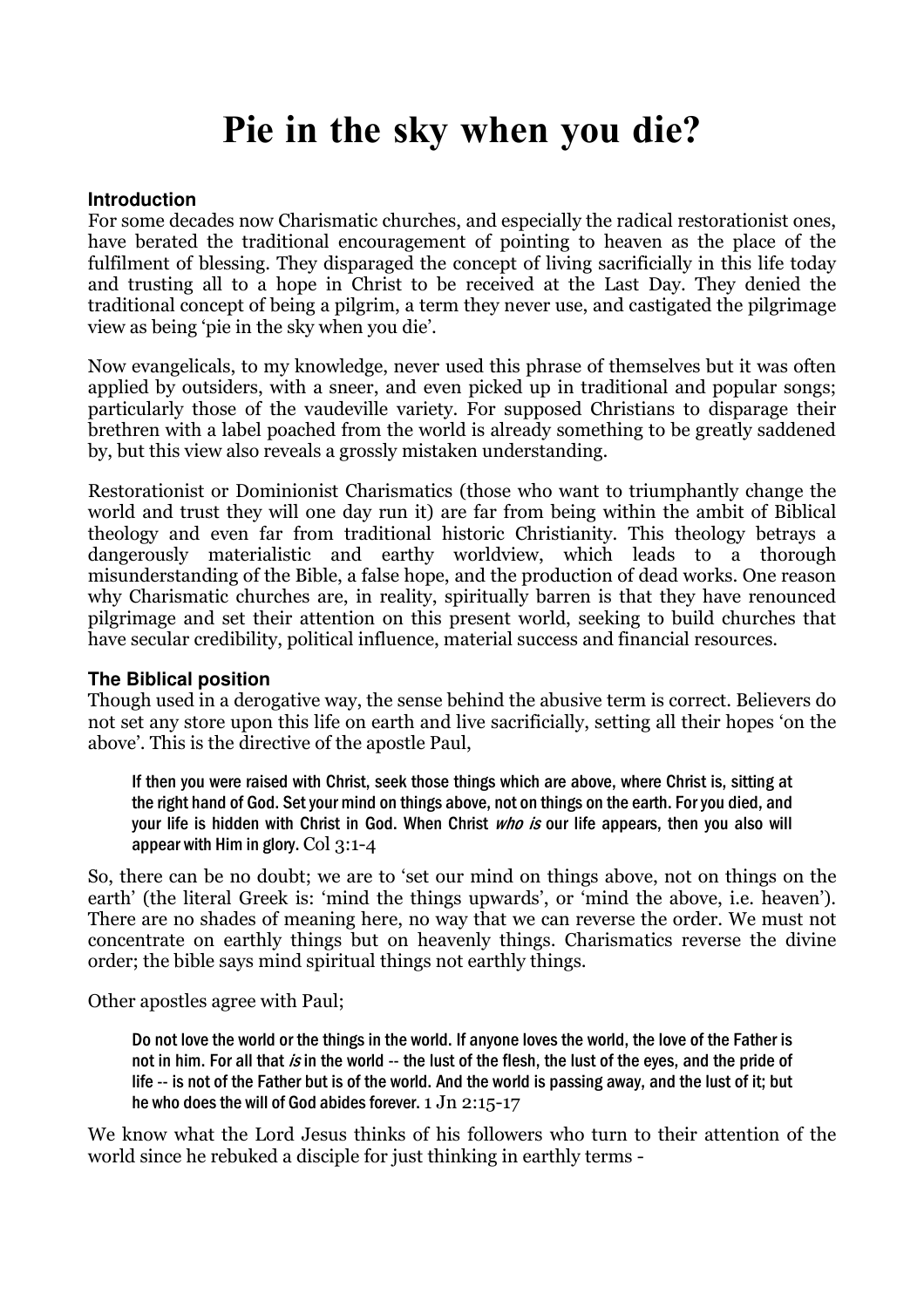# Pie in the sky when you die?

## **Introduction**

For some decades now Charismatic churches, and especially the radical restorationist ones, have berated the traditional encouragement of pointing to heaven as the place of the fulfilment of blessing. They disparaged the concept of living sacrificially in this life today and trusting all to a hope in Christ to be received at the Last Day. They denied the traditional concept of being a pilgrim, a term they never use, and castigated the pilgrimage view as being 'pie in the sky when you die'.

Now evangelicals, to my knowledge, never used this phrase of themselves but it was often applied by outsiders, with a sneer, and even picked up in traditional and popular songs; particularly those of the vaudeville variety. For supposed Christians to disparage their brethren with a label poached from the world is already something to be greatly saddened by, but this view also reveals a grossly mistaken understanding.

Restorationist or Dominionist Charismatics (those who want to triumphantly change the world and trust they will one day run it) are far from being within the ambit of Biblical theology and even far from traditional historic Christianity. This theology betrays a dangerously materialistic and earthy worldview, which leads to a thorough misunderstanding of the Bible, a false hope, and the production of dead works. One reason why Charismatic churches are, in reality, spiritually barren is that they have renounced pilgrimage and set their attention on this present world, seeking to build churches that have secular credibility, political influence, material success and financial resources.

## **The Biblical position**

Though used in a derogative way, the sense behind the abusive term is correct. Believers do not set any store upon this life on earth and live sacrificially, setting all their hopes 'on the above'. This is the directive of the apostle Paul,

If then you were raised with Christ, seek those things which are above, where Christ is, sitting at the right hand of God. Set your mind on things above, not on things on the earth. For you died, and your life is hidden with Christ in God. When Christ who is our life appears, then you also will appear with Him in glory.  $Col$  3:1-4

So, there can be no doubt; we are to 'set our mind on things above, not on things on the earth' (the literal Greek is: 'mind the things upwards', or 'mind the above, i.e. heaven'). There are no shades of meaning here, no way that we can reverse the order. We must not concentrate on earthly things but on heavenly things. Charismatics reverse the divine order; the bible says mind spiritual things not earthly things.

Other apostles agree with Paul;

Do not love the world or the things in the world. If anyone loves the world, the love of the Father is not in him. For all that is in the world -- the lust of the flesh, the lust of the eyes, and the pride of life -- is not of the Father but is of the world. And the world is passing away, and the lust of it; but he who does the will of God abides forever. 1 Jn 2:15-17

We know what the Lord Jesus thinks of his followers who turn to their attention of the world since he rebuked a disciple for just thinking in earthly terms -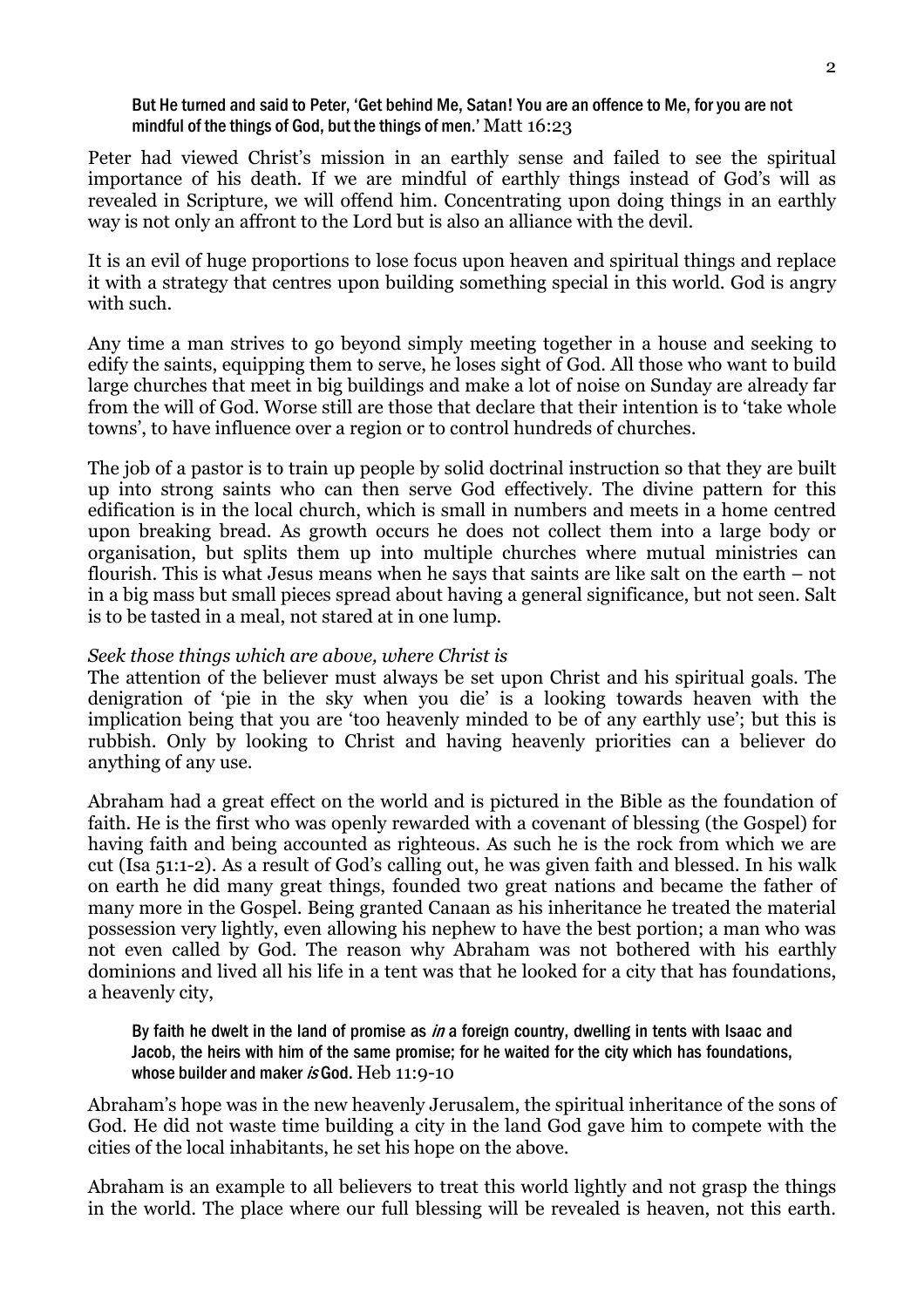#### But He turned and said to Peter, 'Get behind Me, Satan! You are an offence to Me, for you are not mindful of the things of God, but the things of men.' Matt 16:23

Peter had viewed Christ's mission in an earthly sense and failed to see the spiritual importance of his death. If we are mindful of earthly things instead of God's will as revealed in Scripture, we will offend him. Concentrating upon doing things in an earthly way is not only an affront to the Lord but is also an alliance with the devil.

It is an evil of huge proportions to lose focus upon heaven and spiritual things and replace it with a strategy that centres upon building something special in this world. God is angry with such.

Any time a man strives to go beyond simply meeting together in a house and seeking to edify the saints, equipping them to serve, he loses sight of God. All those who want to build large churches that meet in big buildings and make a lot of noise on Sunday are already far from the will of God. Worse still are those that declare that their intention is to 'take whole towns', to have influence over a region or to control hundreds of churches.

The job of a pastor is to train up people by solid doctrinal instruction so that they are built up into strong saints who can then serve God effectively. The divine pattern for this edification is in the local church, which is small in numbers and meets in a home centred upon breaking bread. As growth occurs he does not collect them into a large body or organisation, but splits them up into multiple churches where mutual ministries can flourish. This is what Jesus means when he says that saints are like salt on the earth – not in a big mass but small pieces spread about having a general significance, but not seen. Salt is to be tasted in a meal, not stared at in one lump.

## Seek those things which are above, where Christ is

The attention of the believer must always be set upon Christ and his spiritual goals. The denigration of 'pie in the sky when you die' is a looking towards heaven with the implication being that you are 'too heavenly minded to be of any earthly use'; but this is rubbish. Only by looking to Christ and having heavenly priorities can a believer do anything of any use.

Abraham had a great effect on the world and is pictured in the Bible as the foundation of faith. He is the first who was openly rewarded with a covenant of blessing (the Gospel) for having faith and being accounted as righteous. As such he is the rock from which we are cut (Isa 51:1-2). As a result of God's calling out, he was given faith and blessed. In his walk on earth he did many great things, founded two great nations and became the father of many more in the Gospel. Being granted Canaan as his inheritance he treated the material possession very lightly, even allowing his nephew to have the best portion; a man who was not even called by God. The reason why Abraham was not bothered with his earthly dominions and lived all his life in a tent was that he looked for a city that has foundations, a heavenly city,

By faith he dwelt in the land of promise as in a foreign country, dwelling in tents with Isaac and Jacob, the heirs with him of the same promise; for he waited for the city which has foundations, whose builder and maker is God. Heb 11:9-10

Abraham's hope was in the new heavenly Jerusalem, the spiritual inheritance of the sons of God. He did not waste time building a city in the land God gave him to compete with the cities of the local inhabitants, he set his hope on the above.

Abraham is an example to all believers to treat this world lightly and not grasp the things in the world. The place where our full blessing will be revealed is heaven, not this earth.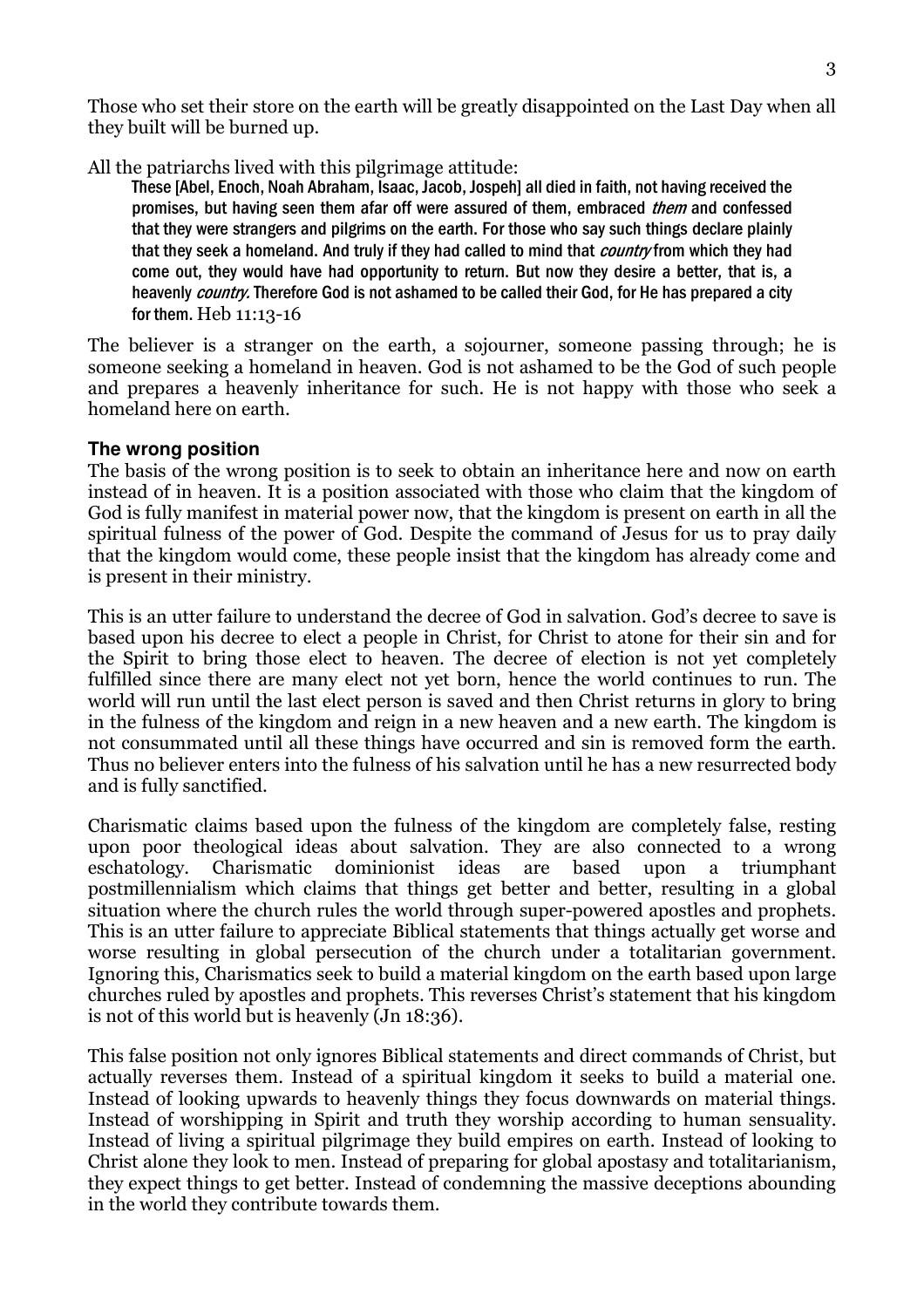Those who set their store on the earth will be greatly disappointed on the Last Day when all they built will be burned up.

All the patriarchs lived with this pilgrimage attitude:

These [Abel, Enoch, Noah Abraham, Isaac, Jacob, Jospeh] all died in faith, not having received the promises, but having seen them afar off were assured of them, embraced *them* and confessed that they were strangers and pilgrims on the earth. For those who say such things declare plainly that they seek a homeland. And truly if they had called to mind that *country* from which they had come out, they would have had opportunity to return. But now they desire a better, that is, a heavenly *country*. Therefore God is not ashamed to be called their God, for He has prepared a city for them. Heb 11:13-16

The believer is a stranger on the earth, a sojourner, someone passing through; he is someone seeking a homeland in heaven. God is not ashamed to be the God of such people and prepares a heavenly inheritance for such. He is not happy with those who seek a homeland here on earth.

# **The wrong position**

The basis of the wrong position is to seek to obtain an inheritance here and now on earth instead of in heaven. It is a position associated with those who claim that the kingdom of God is fully manifest in material power now, that the kingdom is present on earth in all the spiritual fulness of the power of God. Despite the command of Jesus for us to pray daily that the kingdom would come, these people insist that the kingdom has already come and is present in their ministry.

This is an utter failure to understand the decree of God in salvation. God's decree to save is based upon his decree to elect a people in Christ, for Christ to atone for their sin and for the Spirit to bring those elect to heaven. The decree of election is not yet completely fulfilled since there are many elect not yet born, hence the world continues to run. The world will run until the last elect person is saved and then Christ returns in glory to bring in the fulness of the kingdom and reign in a new heaven and a new earth. The kingdom is not consummated until all these things have occurred and sin is removed form the earth. Thus no believer enters into the fulness of his salvation until he has a new resurrected body and is fully sanctified.

Charismatic claims based upon the fulness of the kingdom are completely false, resting upon poor theological ideas about salvation. They are also connected to a wrong eschatology. Charismatic dominionist ideas are based upon a triumphant postmillennialism which claims that things get better and better, resulting in a global situation where the church rules the world through super-powered apostles and prophets. This is an utter failure to appreciate Biblical statements that things actually get worse and worse resulting in global persecution of the church under a totalitarian government. Ignoring this, Charismatics seek to build a material kingdom on the earth based upon large churches ruled by apostles and prophets. This reverses Christ's statement that his kingdom is not of this world but is heavenly (Jn 18:36).

This false position not only ignores Biblical statements and direct commands of Christ, but actually reverses them. Instead of a spiritual kingdom it seeks to build a material one. Instead of looking upwards to heavenly things they focus downwards on material things. Instead of worshipping in Spirit and truth they worship according to human sensuality. Instead of living a spiritual pilgrimage they build empires on earth. Instead of looking to Christ alone they look to men. Instead of preparing for global apostasy and totalitarianism, they expect things to get better. Instead of condemning the massive deceptions abounding in the world they contribute towards them.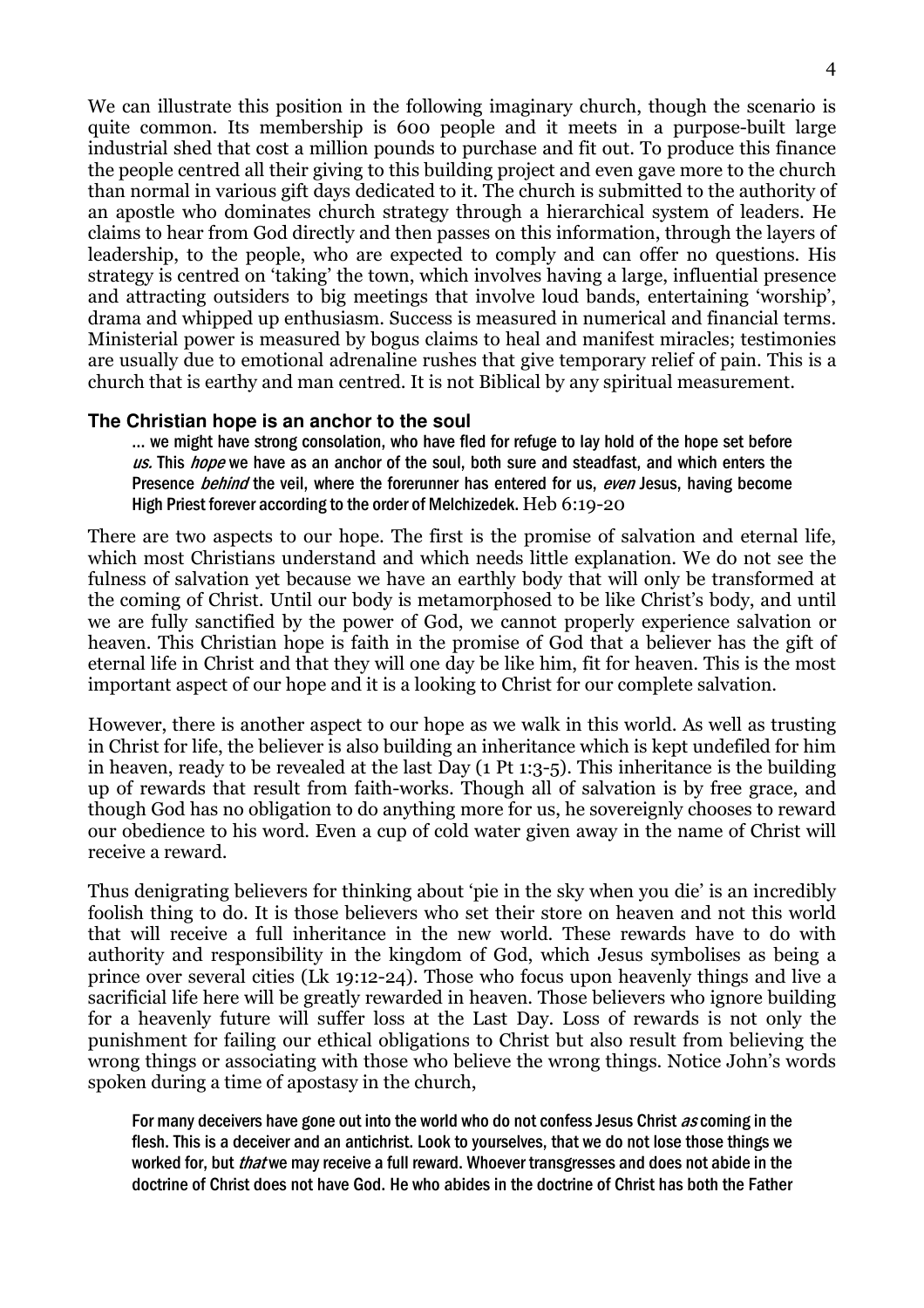We can illustrate this position in the following imaginary church, though the scenario is quite common. Its membership is 600 people and it meets in a purpose-built large industrial shed that cost a million pounds to purchase and fit out. To produce this finance the people centred all their giving to this building project and even gave more to the church than normal in various gift days dedicated to it. The church is submitted to the authority of an apostle who dominates church strategy through a hierarchical system of leaders. He claims to hear from God directly and then passes on this information, through the layers of leadership, to the people, who are expected to comply and can offer no questions. His strategy is centred on 'taking' the town, which involves having a large, influential presence and attracting outsiders to big meetings that involve loud bands, entertaining 'worship', drama and whipped up enthusiasm. Success is measured in numerical and financial terms. Ministerial power is measured by bogus claims to heal and manifest miracles; testimonies are usually due to emotional adrenaline rushes that give temporary relief of pain. This is a church that is earthy and man centred. It is not Biblical by any spiritual measurement.

## **The Christian hope is an anchor to the soul**

… we might have strong consolation, who have fled for refuge to lay hold of the hope set before us. This *hope* we have as an anchor of the soul, both sure and steadfast, and which enters the Presence *behind* the veil, where the forerunner has entered for us, even Jesus, having become High Priest forever according to the order of Melchizedek. Heb 6:19-20

There are two aspects to our hope. The first is the promise of salvation and eternal life, which most Christians understand and which needs little explanation. We do not see the fulness of salvation yet because we have an earthly body that will only be transformed at the coming of Christ. Until our body is metamorphosed to be like Christ's body, and until we are fully sanctified by the power of God, we cannot properly experience salvation or heaven. This Christian hope is faith in the promise of God that a believer has the gift of eternal life in Christ and that they will one day be like him, fit for heaven. This is the most important aspect of our hope and it is a looking to Christ for our complete salvation.

However, there is another aspect to our hope as we walk in this world. As well as trusting in Christ for life, the believer is also building an inheritance which is kept undefiled for him in heaven, ready to be revealed at the last Day (1 Pt 1:3-5). This inheritance is the building up of rewards that result from faith-works. Though all of salvation is by free grace, and though God has no obligation to do anything more for us, he sovereignly chooses to reward our obedience to his word. Even a cup of cold water given away in the name of Christ will receive a reward.

Thus denigrating believers for thinking about 'pie in the sky when you die' is an incredibly foolish thing to do. It is those believers who set their store on heaven and not this world that will receive a full inheritance in the new world. These rewards have to do with authority and responsibility in the kingdom of God, which Jesus symbolises as being a prince over several cities (Lk 19:12-24). Those who focus upon heavenly things and live a sacrificial life here will be greatly rewarded in heaven. Those believers who ignore building for a heavenly future will suffer loss at the Last Day. Loss of rewards is not only the punishment for failing our ethical obligations to Christ but also result from believing the wrong things or associating with those who believe the wrong things. Notice John's words spoken during a time of apostasy in the church,

For many deceivers have gone out into the world who do not confess Jesus Christ as coming in the flesh. This is a deceiver and an antichrist. Look to yourselves, that we do not lose those things we worked for, but *that* we may receive a full reward. Whoever transgresses and does not abide in the doctrine of Christ does not have God. He who abides in the doctrine of Christ has both the Father